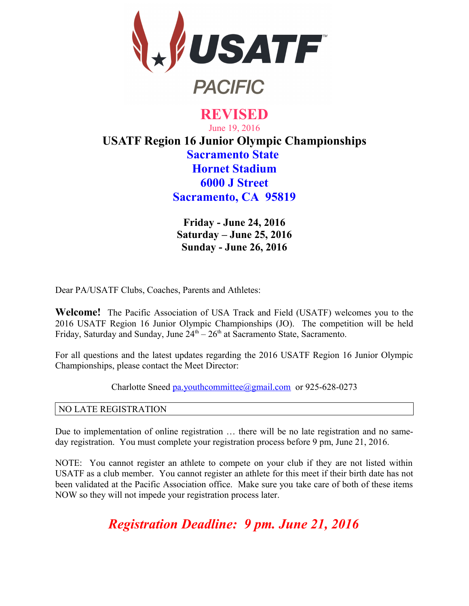

# **REVISED** June 19, 2016 **USATF Region 16 Junior Olympic Championships Sacramento State Hornet Stadium 6000 J Street Sacramento, CA 95819**

**Friday - June 24, 2016 Saturday – June 25, 2016 Sunday - June 26, 2016**

Dear PA/USATF Clubs, Coaches, Parents and Athletes:

**Welcome!** The Pacific Association of USA Track and Field (USATF) welcomes you to the 2016 USATF Region 16 Junior Olympic Championships (JO). The competition will be held Friday, Saturday and Sunday, June  $24<sup>th</sup> - 26<sup>th</sup>$  at Sacramento State, Sacramento.

For all questions and the latest updates regarding the 2016 USATF Region 16 Junior Olympic Championships, please contact the Meet Director:

Charlotte Sneed [pa.youthcommittee@gmail.com](mailto:pa.youthcommittee@) or 925-628-0273

#### NO LATE REGISTRATION

Due to implementation of online registration … there will be no late registration and no sameday registration. You must complete your registration process before 9 pm, June 21, 2016.

NOTE: You cannot register an athlete to compete on your club if they are not listed within USATF as a club member. You cannot register an athlete for this meet if their birth date has not been validated at the Pacific Association office. Make sure you take care of both of these items NOW so they will not impede your registration process later.

*Registration Deadline: 9 pm. June 21, 2016*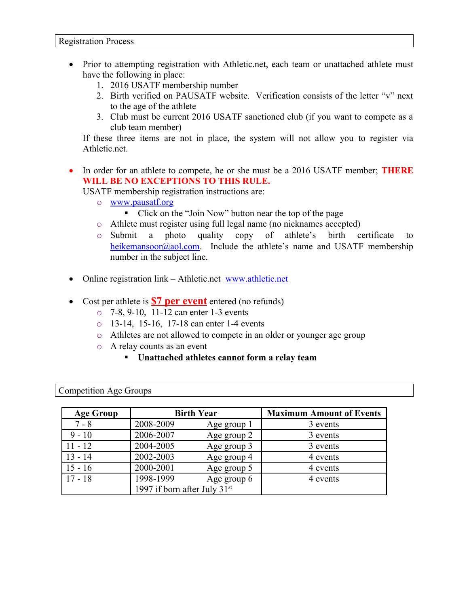- Prior to attempting registration with Athletic.net, each team or unattached athlete must have the following in place:
	- 1. 2016 USATF membership number
	- 2. Birth verified on PAUSATF website. Verification consists of the letter "v" next to the age of the athlete
	- 3. Club must be current 2016 USATF sanctioned club (if you want to compete as a club team member)

If these three items are not in place, the system will not allow you to register via Athletic.net.

 In order for an athlete to compete, he or she must be a 2016 USATF member; **THERE WILL BE NO EXCEPTIONS TO THIS RULE.**

USATF membership registration instructions are:

- o [www.pausatf.org](https://www.pausatf.org/)
	- Click on the "Join Now" button near the top of the page
- o Athlete must register using full legal name (no nicknames accepted)
- o Submit a photo quality copy of athlete's birth certificate to [heikemansoor@aol.com.](mailto:heikemansoor@aol.com) Include the athlete's name and USATF membership number in the subject line.
- Online registration link Athletic.net www.athletic.net
- Cost per athlete is **\$7 per event** entered (no refunds)
	- o 7-8, 9-10, 11-12 can enter 1-3 events
	- o 13-14, 15-16, 17-18 can enter 1-4 events
	- o Athletes are not allowed to compete in an older or younger age group
	- o A relay counts as an event
		- **Unattached athletes cannot form a relay team**

Competition Age Groups

| <b>Age Group</b> |                                | <b>Birth Year</b> | <b>Maximum Amount of Events</b> |
|------------------|--------------------------------|-------------------|---------------------------------|
| $7 - 8$          | 2008-2009                      | Age group 1       | 3 events                        |
| $9 - 10$         | 2006-2007                      | Age group 2       | 3 events                        |
| $11 - 12$        | 2004-2005                      | Age group 3       | 3 events                        |
| $13 - 14$        | 2002-2003                      | Age group 4       | 4 events                        |
| $15 - 16$        | 2000-2001                      | Age group 5       | 4 events                        |
| $17 - 18$        | 1998-1999                      | Age group 6       | 4 events                        |
|                  | 1997 if born after July $31st$ |                   |                                 |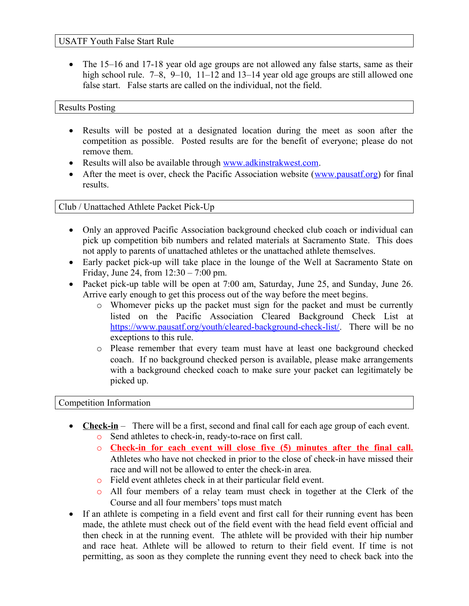#### USATF Youth False Start Rule

• The 15–16 and 17-18 year old age groups are not allowed any false starts, same as their high school rule. 7–8, 9–10, 11–12 and 13–14 year old age groups are still allowed one false start. False starts are called on the individual, not the field.

#### Results Posting

- Results will be posted at a designated location during the meet as soon after the competition as possible. Posted results are for the benefit of everyone; please do not remove them.
- Results will also be available through [www.adkinstrakwest.com.](https://www.adkinstrakwest.com/)
- After the meet is over, check the Pacific Association website [\(www.pausatf.org\)](https://www.pausatf.org/) for final results.

#### Club / Unattached Athlete Packet Pick-Up

- Only an approved Pacific Association background checked club coach or individual can pick up competition bib numbers and related materials at Sacramento State. This does not apply to parents of unattached athletes or the unattached athlete themselves.
- Early packet pick-up will take place in the lounge of the Well at Sacramento State on Friday, June 24, from 12:30 – 7:00 pm.
- Packet pick-up table will be open at 7:00 am, Saturday, June 25, and Sunday, June 26. Arrive early enough to get this process out of the way before the meet begins.
	- o Whomever picks up the packet must sign for the packet and must be currently listed on the Pacific Association Cleared Background Check List at [https://www.pausatf.org/youth/cleared-background-check-list/.](https://www.pausatf.org/youth/cleared-background-check-list/) There will be no exceptions to this rule.
	- o Please remember that every team must have at least one background checked coach. If no background checked person is available, please make arrangements with a background checked coach to make sure your packet can legitimately be picked up.

#### Competition Information

- **Check-in** There will be a first, second and final call for each age group of each event.
	- o Send athletes to check-in, ready-to-race on first call.
	- o **Check-in for each event will close five (5) minutes after the final call.** Athletes who have not checked in prior to the close of check-in have missed their race and will not be allowed to enter the check-in area.
	- o Field event athletes check in at their particular field event.
	- o All four members of a relay team must check in together at the Clerk of the Course and all four members' tops must match
- If an athlete is competing in a field event and first call for their running event has been made, the athlete must check out of the field event with the head field event official and then check in at the running event. The athlete will be provided with their hip number and race heat. Athlete will be allowed to return to their field event. If time is not permitting, as soon as they complete the running event they need to check back into the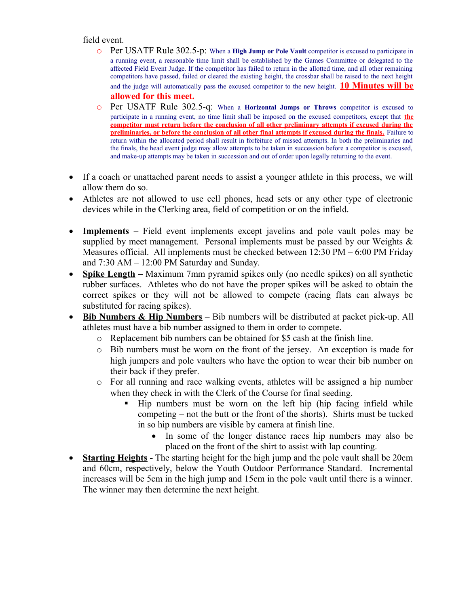field event.

- o Per USATF Rule 302.5-p: When a **High Jump or Pole Vault** competitor is excused to participate in a running event, a reasonable time limit shall be established by the Games Committee or delegated to the affected Field Event Judge. If the competitor has failed to return in the allotted time, and all other remaining competitors have passed, failed or cleared the existing height, the crossbar shall be raised to the next height and the judge will automatically pass the excused competitor to the new height. **10 Minutes will be allowed for this meet.**
- o Per USATF Rule 302.5-q: When a **Horizontal Jumps or Throws** competitor is excused to participate in a running event, no time limit shall be imposed on the excused competitors, except that **the competitor must return before the conclusion of all other preliminary attempts if excused during the preliminaries, or before the conclusion of all other final attempts if excused during the finals.** Failure to return within the allocated period shall result in forfeiture of missed attempts. In both the preliminaries and the finals, the head event judge may allow attempts to be taken in succession before a competitor is excused, and make-up attempts may be taken in succession and out of order upon legally returning to the event.
- If a coach or unattached parent needs to assist a younger athlete in this process, we will allow them do so.
- Athletes are not allowed to use cell phones, head sets or any other type of electronic devices while in the Clerking area, field of competition or on the infield.
- **Implements** Field event implements except javelins and pole vault poles may be supplied by meet management. Personal implements must be passed by our Weights  $\&$ Measures official. All implements must be checked between 12:30 PM – 6:00 PM Friday and 7:30 AM – 12:00 PM Saturday and Sunday.
- **Spike Length** Maximum 7mm pyramid spikes only (no needle spikes) on all synthetic rubber surfaces. Athletes who do not have the proper spikes will be asked to obtain the correct spikes or they will not be allowed to compete (racing flats can always be substituted for racing spikes).
- **Bib Numbers & Hip Numbers** Bib numbers will be distributed at packet pick-up. All athletes must have a bib number assigned to them in order to compete.
	- o Replacement bib numbers can be obtained for \$5 cash at the finish line.
	- o Bib numbers must be worn on the front of the jersey. An exception is made for high jumpers and pole vaulters who have the option to wear their bib number on their back if they prefer.
	- o For all running and race walking events, athletes will be assigned a hip number when they check in with the Clerk of the Course for final seeding.
		- Hip numbers must be worn on the left hip (hip facing infield while competing – not the butt or the front of the shorts). Shirts must be tucked in so hip numbers are visible by camera at finish line.
			- In some of the longer distance races hip numbers may also be placed on the front of the shirt to assist with lap counting.
- **Starting Heights** The starting height for the high jump and the pole vault shall be 20cm and 60cm, respectively, below the Youth Outdoor Performance Standard. Incremental increases will be 5cm in the high jump and 15cm in the pole vault until there is a winner. The winner may then determine the next height.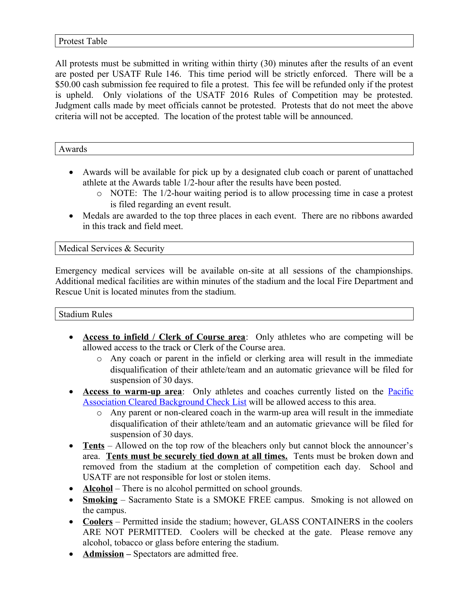#### Protest Table

All protests must be submitted in writing within thirty (30) minutes after the results of an event are posted per USATF Rule 146. This time period will be strictly enforced. There will be a \$50.00 cash submission fee required to file a protest. This fee will be refunded only if the protest is upheld. Only violations of the USATF 2016 Rules of Competition may be protested. Judgment calls made by meet officials cannot be protested. Protests that do not meet the above criteria will not be accepted. The location of the protest table will be announced.

Awards

- Awards will be available for pick up by a designated club coach or parent of unattached athlete at the Awards table 1/2-hour after the results have been posted.
	- o NOTE: The 1/2-hour waiting period is to allow processing time in case a protest is filed regarding an event result.
- Medals are awarded to the top three places in each event. There are no ribbons awarded in this track and field meet.

Medical Services & Security

Emergency medical services will be available on-site at all sessions of the championships. Additional medical facilities are within minutes of the stadium and the local Fire Department and Rescue Unit is located minutes from the stadium.

Stadium Rules

- **Access to infield / Clerk of Course area**: Only athletes who are competing will be allowed access to the track or Clerk of the Course area.
	- o Any coach or parent in the infield or clerking area will result in the immediate disqualification of their athlete/team and an automatic grievance will be filed for suspension of 30 days.
- **Access to warm-up area**: Only athletes and coaches currently listed on the **Pacific** [Association Cleared Background Check List](https://www.pausatf.org/youth/cleared-background-check-list/) will be allowed access to this area.
	- o Any parent or non-cleared coach in the warm-up area will result in the immediate disqualification of their athlete/team and an automatic grievance will be filed for suspension of 30 days.
- **Tents** Allowed on the top row of the bleachers only but cannot block the announcer's area. **Tents must be securely tied down at all times.** Tents must be broken down and removed from the stadium at the completion of competition each day. School and USATF are not responsible for lost or stolen items.
- **Alcohol** There is no alcohol permitted on school grounds.
- **Smoking** Sacramento State is a SMOKE FREE campus. Smoking is not allowed on the campus.
- **Coolers** Permitted inside the stadium; however, GLASS CONTAINERS in the coolers ARE NOT PERMITTED. Coolers will be checked at the gate. Please remove any alcohol, tobacco or glass before entering the stadium.
- **Admission** Spectators are admitted free.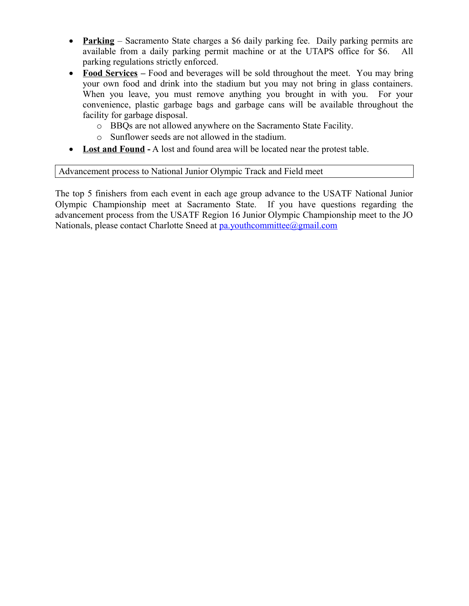- **Parking** Sacramento State charges a \$6 daily parking fee. Daily parking permits are available from a daily parking permit machine or at the UTAPS office for \$6. All parking regulations strictly enforced.
- Food Services Food and beverages will be sold throughout the meet. You may bring your own food and drink into the stadium but you may not bring in glass containers. When you leave, you must remove anything you brought in with you. For your convenience, plastic garbage bags and garbage cans will be available throughout the facility for garbage disposal.
	- o BBQs are not allowed anywhere on the Sacramento State Facility.
	- o Sunflower seeds are not allowed in the stadium.
- Lost and Found A lost and found area will be located near the protest table.

#### Advancement process to National Junior Olympic Track and Field meet

The top 5 finishers from each event in each age group advance to the USATF National Junior Olympic Championship meet at Sacramento State. If you have questions regarding the advancement process from the USATF Region 16 Junior Olympic Championship meet to the JO Nationals, please contact Charlotte Sneed at [pa.youthcommittee@gmail.com](mailto:pa.youthcommittee@gmail.com)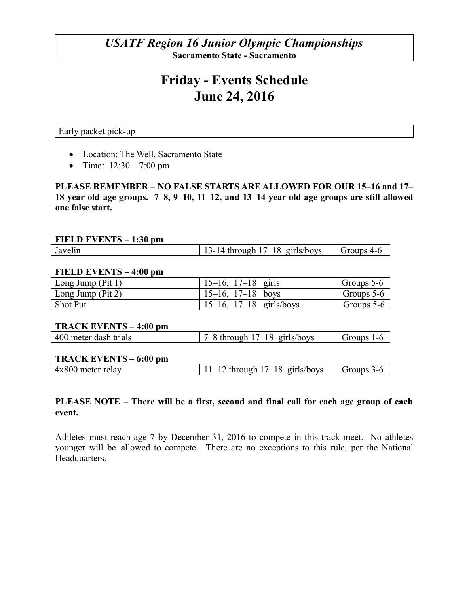## *USATF Region 16 Junior Olympic Championships* **Sacramento State - Sacramento**

# **Friday - Events Schedule June 24, 2016**

Early packet pick-up

- Location: The Well, Sacramento State
- Time:  $12:30 7:00$  pm

**PLEASE REMEMBER – NO FALSE STARTS ARE ALLOWED FOR OUR 15–16 and 17– 18 year old age groups. 7–8, 9–10, 11–12, and 13–14 year old age groups are still allowed one false start.** 

#### **FIELD EVENTS – 1:30 pm**

| 13-14 through $17-18$ girls/boys<br>Groups 4-6<br>Javelin |
|-----------------------------------------------------------|
|-----------------------------------------------------------|

#### **FIELD EVENTS – 4:00 pm**

| $\vert$ Long Jump (Pit 1) | $15-16$ , $17-18$ girls      | Groups 5-6 |
|---------------------------|------------------------------|------------|
| $\vert$ Long Jump (Pit 2) | $15-16$ , $17-18$ boys       | Groups 5-6 |
| Shot Put                  | $15-16$ , $17-18$ girls/boys | Groups 5-6 |

#### **TRACK EVENTS – 4:00 pm**

| 400 meter dash trials | girls/boys<br>1 O<br>through 1<br>$\overline{A}$<br>$\cdot$ $ \cdot$ | iroups<br>l – h |
|-----------------------|----------------------------------------------------------------------|-----------------|
|-----------------------|----------------------------------------------------------------------|-----------------|

#### **TRACK EVENTS – 6:00 pm**

| $4x800$ meter relay | $-12$ through $17-18$ girls/boys<br>$-1$ | $Groups 3-f$ |
|---------------------|------------------------------------------|--------------|
|                     |                                          |              |

#### **PLEASE NOTE – There will be a first, second and final call for each age group of each event.**

Athletes must reach age 7 by December 31, 2016 to compete in this track meet. No athletes younger will be allowed to compete. There are no exceptions to this rule, per the National Headquarters.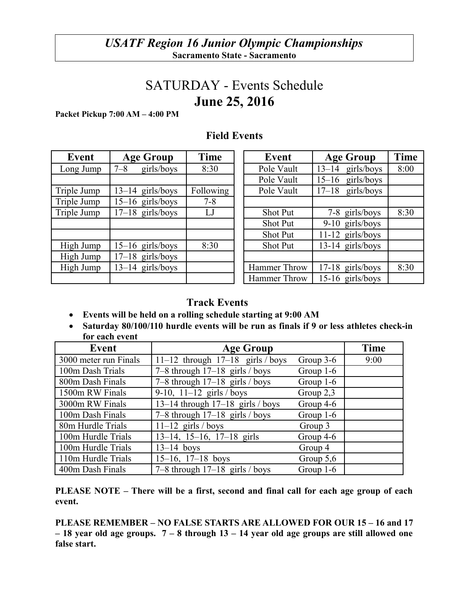# SATURDAY - Events Schedule **June 25, 2016**

**Packet Pickup 7:00 AM – 4:00 PM**

| Event       | <b>Age Group</b>      | Time      | Event           | <b>Age Group</b>        | Tim  |
|-------------|-----------------------|-----------|-----------------|-------------------------|------|
| Long Jump   | girls/boys<br>$7 - 8$ | 8:30      | Pole Vault      | girls/boys<br>$13 - 14$ | 8:00 |
|             |                       |           | Pole Vault      | girls/boys<br>$15 - 16$ |      |
| Triple Jump | $13-14$ girls/boys    | Following | Pole Vault      | $17-18$ girls/boys      |      |
| Triple Jump | $15-16$ girls/boys    | $7 - 8$   |                 |                         |      |
| Triple Jump | $17-18$ girls/boys    | LJ        | <b>Shot Put</b> | 7-8 girls/boys          | 8:30 |
|             |                       |           | <b>Shot Put</b> | $9-10$ girls/boys       |      |
|             |                       |           | <b>Shot Put</b> | $11-12$ girls/boys      |      |
| High Jump   | $15-16$ girls/boys    | 8:30      | <b>Shot Put</b> | 13-14 girls/boys        |      |
| High Jump   | $17-18$ girls/boys    |           |                 |                         |      |
| High Jump   | $13-14$ girls/boys    |           | Hammer Throw    | $17-18$ girls/boys      | 8:30 |
|             |                       |           | Hammer Throw    | $15-16$ girls/hovs      |      |

| Event    | <b>Age Group</b>      | Time      | Event           | <b>Age Group</b>        | Time |
|----------|-----------------------|-----------|-----------------|-------------------------|------|
| ong Jump | $7 - 8$<br>girls/boys | 8:30      | Pole Vault      | $13-14$ girls/boys      | 8:00 |
|          |                       |           | Pole Vault      | girls/boys<br>$15 - 16$ |      |
| ple Jump | $13-14$ girls/boys    | Following | Pole Vault      | $17-18$ girls/boys      |      |
| ple Jump | $15-16$ girls/boys    | $7 - 8$   |                 |                         |      |
| ple Jump | $17-18$ girls/boys    | LJ        | <b>Shot Put</b> | 7-8 girls/boys          | 8:30 |
|          |                       |           | <b>Shot Put</b> | $9-10$ girls/boys       |      |
|          |                       |           | <b>Shot Put</b> | $11-12$ girls/boys      |      |
| igh Jump | $15-16$ girls/boys    | 8:30      | <b>Shot Put</b> | $13-14$ girls/boys      |      |
| igh Jump | $17-18$ girls/boys    |           |                 |                         |      |
| igh Jump | $13-14$ girls/boys    |           | Hammer Throw    | $17-18$ girls/boys      | 8:30 |
|          |                       |           | Hammer Throw    | 15-16 girls/boys        |      |

# **Field Events**

## **Track Events**

- **Events will be held on a rolling schedule starting at 9:00 AM**
- **Saturday 80/100/110 hurdle events will be run as finals if 9 or less athletes check-in for each event**

| Event                 | <b>Age Group</b>                     |             | <b>Time</b> |
|-----------------------|--------------------------------------|-------------|-------------|
| 3000 meter run Finals | 11-12 through $17-18$ girls / boys   | Group $3-6$ | 9:00        |
| 100m Dash Trials      | 7–8 through $17-18$ girls / boys     | Group $1-6$ |             |
| 800m Dash Finals      | 7–8 through $17-18$ girls / boys     | Group $1-6$ |             |
| 1500m RW Finals       | 9-10, $11-12$ girls / boys           | Group $2,3$ |             |
| 3000m RW Finals       | $13-14$ through $17-18$ girls / boys | Group $4-6$ |             |
| 100m Dash Finals      | 7–8 through $17-18$ girls / boys     | Group $1-6$ |             |
| 80m Hurdle Trials     | $11-12$ girls / boys                 | Group 3     |             |
| 100m Hurdle Trials    | $13-14$ , $15-16$ , $17-18$ girls    | Group $4-6$ |             |
| 100m Hurdle Trials    | $13-14$ boys                         | Group 4     |             |
| 110m Hurdle Trials    | $15-16$ , $17-18$ boys               | Group $5,6$ |             |
| 400m Dash Finals      | 7–8 through $17-18$ girls / boys     | Group $1-6$ |             |

**PLEASE NOTE – There will be a first, second and final call for each age group of each event.** 

**PLEASE REMEMBER – NO FALSE STARTS ARE ALLOWED FOR OUR 15 – 16 and 17 – 18 year old age groups. 7 – 8 through 13 – 14 year old age groups are still allowed one false start.**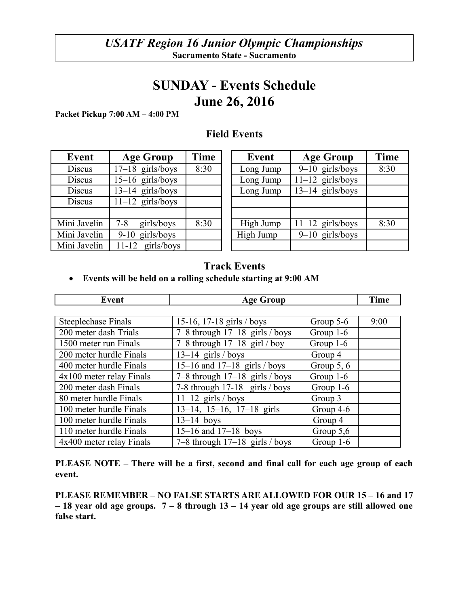# **SUNDAY - Events Schedule June 26, 2016**

**Packet Pickup 7:00 AM – 4:00 PM**

| Event         | <b>Age Group</b>      | Time | Event     | <b>Age Group</b>   |
|---------------|-----------------------|------|-----------|--------------------|
| <b>Discus</b> | $17-18$ girls/boys    | 8:30 | Long Jump | $9-10$ girls/boys  |
| <b>Discus</b> | $15-16$ girls/boys    |      | Long Jump | $11-12$ girls/boys |
| <b>Discus</b> | $13-14$ girls/boys    |      | Long Jump | $13-14$ girls/boys |
| <b>Discus</b> | $11-12$ girls/boys    |      |           |                    |
|               |                       |      |           |                    |
| Mini Javelin  | girls/boys<br>$7 - 8$ | 8:30 | High Jump | $11-12$ girls/boys |
| Mini Javelin  | 9-10 girls/boys       |      | High Jump | $9-10$ girls/boys  |
| Mini Javelin  | $11-12$ girls/boys    |      |           |                    |

## **Field Events**

| Event         | <b>Age Group</b>    | Time | Event     | <b>Age Group</b>   | Time |
|---------------|---------------------|------|-----------|--------------------|------|
| <b>Discus</b> | $17-18$ girls/boys  | 8:30 | Long Jump | $9-10$ girls/boys  | 8:30 |
| Discus        | $15-16$ girls/boys  |      | Long Jump | $11-12$ girls/boys |      |
| Discus        | $13-14$ girls/boys  |      | Long Jump | $13-14$ girls/boys |      |
| <b>Discus</b> | $11-12$ girls/boys  |      |           |                    |      |
|               |                     |      |           |                    |      |
| Mini Javelin  | girls/boys<br>7-8   | 8:30 | High Jump | $11-12$ girls/boys | 8:30 |
| Mini Javelin  | $9-10$ girls/boys   |      | High Jump | $9-10$ girls/boys  |      |
| Mini Javelin  | girls/boys<br>11-12 |      |           |                    |      |

## **Track Events**

#### **Events will be held on a rolling schedule starting at 9:00 AM**

| <b>Event</b>               | <b>Age Group</b>                  | <b>Time</b>  |      |
|----------------------------|-----------------------------------|--------------|------|
|                            |                                   |              |      |
| <b>Steeplechase Finals</b> | 15-16, 17-18 girls / boys         | Group $5-6$  | 9:00 |
| 200 meter dash Trials      | 7–8 through $17-18$ girls / boys  | Group $1-6$  |      |
| 1500 meter run Finals      | 7–8 through $17-18$ girl / boy    | Group $1-6$  |      |
| 200 meter hurdle Finals    | $13-14$ girls / boys              | Group 4      |      |
| 400 meter hurdle Finals    | 15-16 and $17-18$ girls / boys    | Group $5, 6$ |      |
| $4x100$ meter relay Finals | 7–8 through $17-18$ girls / boys  | Group $1-6$  |      |
| 200 meter dash Finals      | 7-8 through $17-18$ girls / boys  | Group $1-6$  |      |
| 80 meter hurdle Finals     | $11-12$ girls / boys              | Group 3      |      |
| 100 meter hurdle Finals    | $13-14$ , $15-16$ , $17-18$ girls | Group 4-6    |      |
| 100 meter hurdle Finals    | $13-14$ boys                      | Group 4      |      |
| 110 meter hurdle Finals    | $15-16$ and $17-18$ boys          | Group $5,6$  |      |
| 4x400 meter relay Finals   | 7–8 through $17-18$ girls / boys  | Group 1-6    |      |

**PLEASE NOTE – There will be a first, second and final call for each age group of each event.** 

**PLEASE REMEMBER – NO FALSE STARTS ARE ALLOWED FOR OUR 15 – 16 and 17 – 18 year old age groups. 7 – 8 through 13 – 14 year old age groups are still allowed one false start.**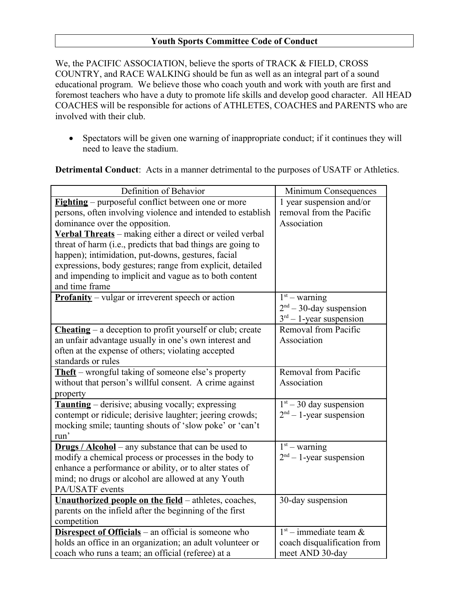#### **Youth Sports Committee Code of Conduct**

We, the PACIFIC ASSOCIATION, believe the sports of TRACK & FIELD, CROSS COUNTRY, and RACE WALKING should be fun as well as an integral part of a sound educational program. We believe those who coach youth and work with youth are first and foremost teachers who have a duty to promote life skills and develop good character. All HEAD COACHES will be responsible for actions of ATHLETES, COACHES and PARENTS who are involved with their club.

 Spectators will be given one warning of inappropriate conduct; if it continues they will need to leave the stadium.

**Detrimental Conduct**: Acts in a manner detrimental to the purposes of USATF or Athletics.

| Definition of Behavior                                              | Minimum Consequences        |
|---------------------------------------------------------------------|-----------------------------|
| <b>Fighting</b> – purposeful conflict between one or more           | 1 year suspension and/or    |
| persons, often involving violence and intended to establish         | removal from the Pacific    |
| dominance over the opposition.                                      | Association                 |
| Verbal Threats - making either a direct or veiled verbal            |                             |
| threat of harm (i.e., predicts that bad things are going to         |                             |
| happen); intimidation, put-downs, gestures, facial                  |                             |
| expressions, body gestures; range from explicit, detailed           |                             |
| and impending to implicit and vague as to both content              |                             |
| and time frame                                                      |                             |
| <b>Profanity</b> – vulgar or irreverent speech or action            | $1st$ – warning             |
|                                                                     | $2nd - 30$ -day suspension  |
|                                                                     | $3rd - 1$ -year suspension  |
| <b>Cheating</b> – a deception to profit yourself or club; create    | Removal from Pacific        |
| an unfair advantage usually in one's own interest and               | Association                 |
| often at the expense of others; violating accepted                  |                             |
| standards or rules                                                  |                             |
| <b>Theft</b> – wrongful taking of someone else's property           | Removal from Pacific        |
| without that person's willful consent. A crime against              | Association                 |
| property                                                            |                             |
| <b>Taunting</b> – derisive; abusing vocally; expressing             | $1st - 30$ day suspension   |
| contempt or ridicule; derisive laughter; jeering crowds;            | $2nd - 1$ -year suspension  |
| mocking smile; taunting shouts of 'slow poke' or 'can't             |                             |
| run'                                                                |                             |
| <b>Drugs</b> / $\text{Alcohol}$ – any substance that can be used to | $1st$ – warning             |
| modify a chemical process or processes in the body to               | $2nd - 1$ -year suspension  |
| enhance a performance or ability, or to alter states of             |                             |
| mind; no drugs or alcohol are allowed at any Youth                  |                             |
| PA/USATF events                                                     |                             |
| Unauthorized people on the field - athletes, coaches,               | 30-day suspension           |
| parents on the infield after the beginning of the first             |                             |
| competition                                                         |                             |
| <b>Disrespect of Officials</b> – an official is someone who         | $1st$ – immediate team &    |
| holds an office in an organization; an adult volunteer or           | coach disqualification from |
| coach who runs a team; an official (referee) at a                   | meet AND 30-day             |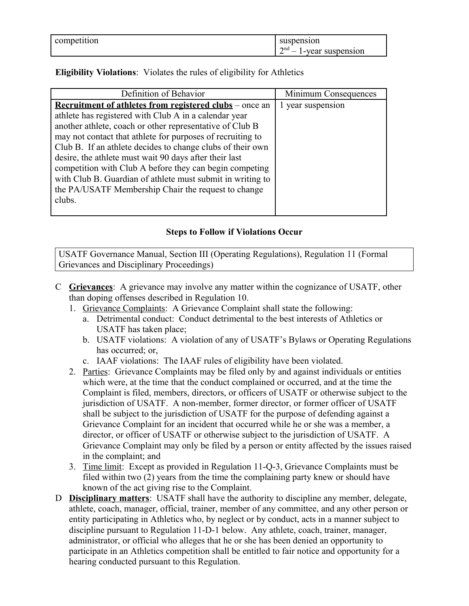| competition | suspension                       |
|-------------|----------------------------------|
|             | $\gamma$ nd<br>l-year suspension |

**Eligibility Violations**: Violates the rules of eligibility for Athletics

| Definition of Behavior                                         | Minimum Consequences |
|----------------------------------------------------------------|----------------------|
| <b>Recruitment of athletes from registered clubs</b> – once an | year suspension      |
| athlete has registered with Club A in a calendar year          |                      |
| another athlete, coach or other representative of Club B       |                      |
| may not contact that athlete for purposes of recruiting to     |                      |
| Club B. If an athlete decides to change clubs of their own     |                      |
| desire, the athlete must wait 90 days after their last         |                      |
| competition with Club A before they can begin competing        |                      |
| with Club B. Guardian of athlete must submit in writing to     |                      |
| the PA/USATF Membership Chair the request to change            |                      |
| clubs.                                                         |                      |
|                                                                |                      |

### **Steps to Follow if Violations Occur**

USATF Governance Manual, Section III (Operating Regulations), Regulation 11 (Formal Grievances and Disciplinary Proceedings)

- C **Grievances**: A grievance may involve any matter within the cognizance of USATF, other than doping offenses described in Regulation 10.
	- 1. Grievance Complaints: A Grievance Complaint shall state the following:
		- a. Detrimental conduct: Conduct detrimental to the best interests of Athletics or USATF has taken place;
		- b. USATF violations: A violation of any of USATF's Bylaws or Operating Regulations has occurred; or,
		- c. IAAF violations: The IAAF rules of eligibility have been violated.
	- 2. Parties: Grievance Complaints may be filed only by and against individuals or entities which were, at the time that the conduct complained or occurred, and at the time the Complaint is filed, members, directors, or officers of USATF or otherwise subject to the jurisdiction of USATF. A non-member, former director, or former officer of USATF shall be subject to the jurisdiction of USATF for the purpose of defending against a Grievance Complaint for an incident that occurred while he or she was a member, a director, or officer of USATF or otherwise subject to the jurisdiction of USATF. A Grievance Complaint may only be filed by a person or entity affected by the issues raised in the complaint; and
	- 3. Time limit: Except as provided in Regulation 11-Q-3, Grievance Complaints must be filed within two (2) years from the time the complaining party knew or should have known of the act giving rise to the Complaint.
- D **Disciplinary matters**: USATF shall have the authority to discipline any member, delegate, athlete, coach, manager, official, trainer, member of any committee, and any other person or entity participating in Athletics who, by neglect or by conduct, acts in a manner subject to discipline pursuant to Regulation 11-D-1 below. Any athlete, coach, trainer, manager, administrator, or official who alleges that he or she has been denied an opportunity to participate in an Athletics competition shall be entitled to fair notice and opportunity for a hearing conducted pursuant to this Regulation.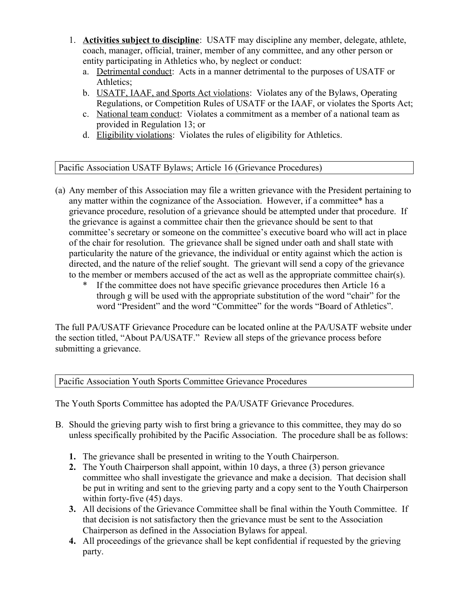- 1. **Activities subject to discipline**: USATF may discipline any member, delegate, athlete, coach, manager, official, trainer, member of any committee, and any other person or entity participating in Athletics who, by neglect or conduct:
	- a. Detrimental conduct: Acts in a manner detrimental to the purposes of USATF or Athletics;
	- b. USATF, IAAF, and Sports Act violations: Violates any of the Bylaws, Operating Regulations, or Competition Rules of USATF or the IAAF, or violates the Sports Act;
	- c. National team conduct: Violates a commitment as a member of a national team as provided in Regulation 13; or
	- d. Eligibility violations: Violates the rules of eligibility for Athletics.

Pacific Association USATF Bylaws; Article 16 (Grievance Procedures)

- (a) Any member of this Association may file a written grievance with the President pertaining to any matter within the cognizance of the Association. However, if a committee\* has a grievance procedure, resolution of a grievance should be attempted under that procedure. If the grievance is against a committee chair then the grievance should be sent to that committee's secretary or someone on the committee's executive board who will act in place of the chair for resolution. The grievance shall be signed under oath and shall state with particularity the nature of the grievance, the individual or entity against which the action is directed, and the nature of the relief sought. The grievant will send a copy of the grievance to the member or members accused of the act as well as the appropriate committee chair(s).
	- \* If the committee does not have specific grievance procedures then Article 16 a through g will be used with the appropriate substitution of the word "chair" for the word "President" and the word "Committee" for the words "Board of Athletics".

The full PA/USATF Grievance Procedure can be located online at the PA/USATF website under the section titled, "About PA/USATF." Review all steps of the grievance process before submitting a grievance.

Pacific Association Youth Sports Committee Grievance Procedures

The Youth Sports Committee has adopted the PA/USATF Grievance Procedures.

- B. Should the grieving party wish to first bring a grievance to this committee, they may do so unless specifically prohibited by the Pacific Association. The procedure shall be as follows:
	- **1.** The grievance shall be presented in writing to the Youth Chairperson.
	- **2.** The Youth Chairperson shall appoint, within 10 days, a three (3) person grievance committee who shall investigate the grievance and make a decision. That decision shall be put in writing and sent to the grieving party and a copy sent to the Youth Chairperson within forty-five (45) days.
	- **3.** All decisions of the Grievance Committee shall be final within the Youth Committee. If that decision is not satisfactory then the grievance must be sent to the Association Chairperson as defined in the Association Bylaws for appeal.
	- **4.** All proceedings of the grievance shall be kept confidential if requested by the grieving party.